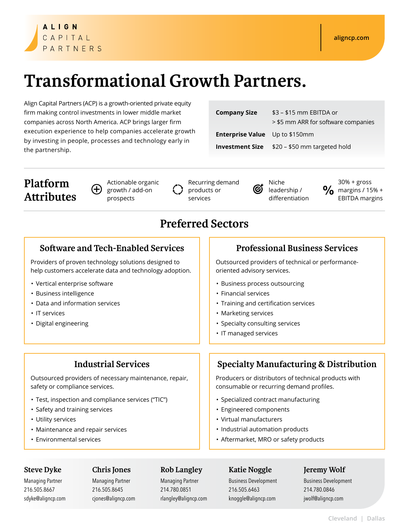# **ALIGN** CAPITAL PARTNERS

# **Transformational Growth Partners.**

Align Capital Partners (ACP) is a growth-oriented private equity firm making control investments in lower middle market companies across North America. ACP brings larger firm execution experience to help companies accelerate growth by investing in people, processes and technology early in the partnership.

| <b>Company Size</b>                   | \$3 - \$15 mm EBITDA or                             |
|---------------------------------------|-----------------------------------------------------|
|                                       | > \$5 mm ARR for software companies                 |
| <b>Enterprise Value</b> Up to \$150mm |                                                     |
|                                       | <b>Investment Size</b> \$20 - \$50 mm targeted hold |

# **Platform Attributes**

Actionable organic  $(+)$ growth / add-on prospects

Recurring demand products or services

Niche leadership / differentiation

30% + gross  $\frac{1}{2}$  margins / 15% + EBITDA margins

# **Preferred Sectors**

## **Software and Tech-Enabled Services Professional Business Services**

Providers of proven technology solutions designed to help customers accelerate data and technology adoption.

- Vertical enterprise software
- Business intelligence
- Data and information services
- IT services
- Digital engineering

Outsourced providers of necessary maintenance, repair, safety or compliance services.

- Test, inspection and compliance services ("TIC")
- Safety and training services
- Utility services
- Maintenance and repair services
- Environmental services

Outsourced providers of technical or performanceoriented advisory services.

- Business process outsourcing
- Financial services
- Training and certification services
- Marketing services
- Specialty consulting services
- IT managed services

# **Industrial Services Specialty Manufacturing & Distribution**

Producers or distributors of technical products with consumable or recurring demand profiles.

- Specialized contract manufacturing
- Engineered components
- Virtual manufacturers
- Industrial automation products
- Aftermarket, MRO or safety products

### **Steve Dyke**

sdyke@aligncp.com

Managing Partner 216.505.8667

**Chris Jones** Managing Partner 216.505.8645

cjones@aligncp.com

### **Rob Langley**

Managing Partner 214.780.0851 rlangley@aligncp.com

### **Katie Noggle**

Business Development 216.505.6463 knoggle@aligncp.com

### **Jeremy Wolf**

Business Development 214.780.0846 jwolf@aligncp.com